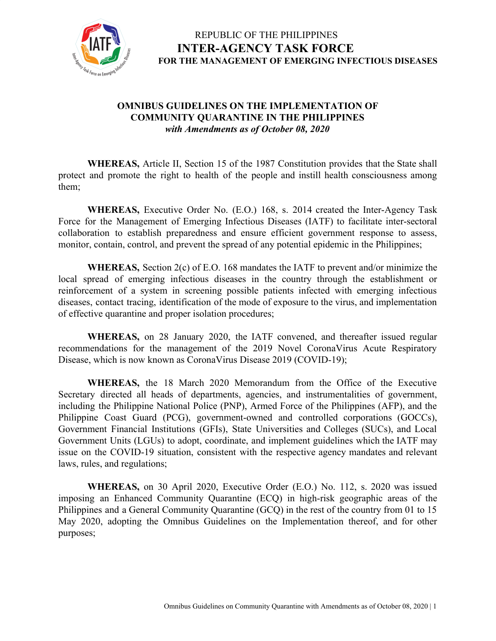

#### **OMNIBUS GUIDELINES ON THE IMPLEMENTATION OF COMMUNITY QUARANTINE IN THE PHILIPPINES** *with Amendments as of October 08, 2020*

**WHEREAS,** Article II, Section 15 of the 1987 Constitution provides that the State shall protect and promote the right to health of the people and instill health consciousness among them;

**WHEREAS,** Executive Order No. (E.O.) 168, s. 2014 created the Inter-Agency Task Force for the Management of Emerging Infectious Diseases (IATF) to facilitate inter-sectoral collaboration to establish preparedness and ensure efficient government response to assess, monitor, contain, control, and prevent the spread of any potential epidemic in the Philippines;

**WHEREAS,** Section 2(c) of E.O. 168 mandates the IATF to prevent and/or minimize the local spread of emerging infectious diseases in the country through the establishment or reinforcement of a system in screening possible patients infected with emerging infectious diseases, contact tracing, identification of the mode of exposure to the virus, and implementation of effective quarantine and proper isolation procedures;

**WHEREAS,** on 28 January 2020, the IATF convened, and thereafter issued regular recommendations for the management of the 2019 Novel CoronaVirus Acute Respiratory Disease, which is now known as CoronaVirus Disease 2019 (COVID-19);

**WHEREAS,** the 18 March 2020 Memorandum from the Office of the Executive Secretary directed all heads of departments, agencies, and instrumentalities of government, including the Philippine National Police (PNP), Armed Force of the Philippines (AFP), and the Philippine Coast Guard (PCG), government-owned and controlled corporations (GOCCs), Government Financial Institutions (GFIs), State Universities and Colleges (SUCs), and Local Government Units (LGUs) to adopt, coordinate, and implement guidelines which the IATF may issue on the COVID-19 situation, consistent with the respective agency mandates and relevant laws, rules, and regulations;

**WHEREAS,** on 30 April 2020, Executive Order (E.O.) No. 112, s. 2020 was issued imposing an Enhanced Community Quarantine (ECQ) in high-risk geographic areas of the Philippines and a General Community Quarantine (GCQ) in the rest of the country from 01 to 15 May 2020, adopting the Omnibus Guidelines on the Implementation thereof, and for other purposes;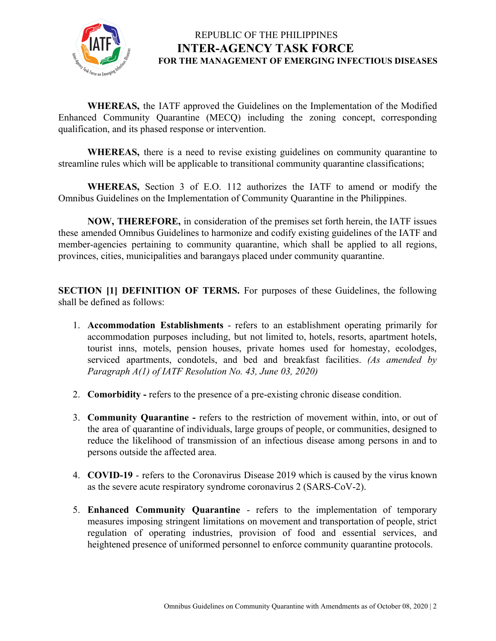

**WHEREAS,** the IATF approved the Guidelines on the Implementation of the Modified Enhanced Community Quarantine (MECQ) including the zoning concept, corresponding qualification, and its phased response or intervention.

**WHEREAS,** there is a need to revise existing guidelines on community quarantine to streamline rules which will be applicable to transitional community quarantine classifications;

**WHEREAS,** Section 3 of E.O. 112 authorizes the IATF to amend or modify the Omnibus Guidelines on the Implementation of Community Quarantine in the Philippines.

**NOW, THEREFORE,** in consideration of the premises set forth herein, the IATF issues these amended Omnibus Guidelines to harmonize and codify existing guidelines of the IATF and member-agencies pertaining to community quarantine, which shall be applied to all regions, provinces, cities, municipalities and barangays placed under community quarantine.

**SECTION [1] DEFINITION OF TERMS.** For purposes of these Guidelines, the following shall be defined as follows:

- 1. **Accommodation Establishments** refers to an establishment operating primarily for accommodation purposes including, but not limited to, hotels, resorts, apartment hotels, tourist inns, motels, pension houses, private homes used for homestay, ecolodges, serviced apartments, condotels, and bed and breakfast facilities. *(As amended by Paragraph A(1) of IATF Resolution No. 43, June 03, 2020)*
- 2. **Comorbidity** refers to the presence of a pre-existing chronic disease condition.
- 3. **Community Quarantine -** refers to the restriction of movement within, into, or out of the area of quarantine of individuals, large groups of people, or communities, designed to reduce the likelihood of transmission of an infectious disease among persons in and to persons outside the affected area.
- 4. **COVID-19** refers to the Coronavirus Disease 2019 which is caused by the virus known as the severe acute respiratory syndrome coronavirus 2 (SARS-CoV-2).
- 5. **Enhanced Community Quarantine** refers to the implementation of temporary measures imposing stringent limitations on movement and transportation of people, strict regulation of operating industries, provision of food and essential services, and heightened presence of uniformed personnel to enforce community quarantine protocols.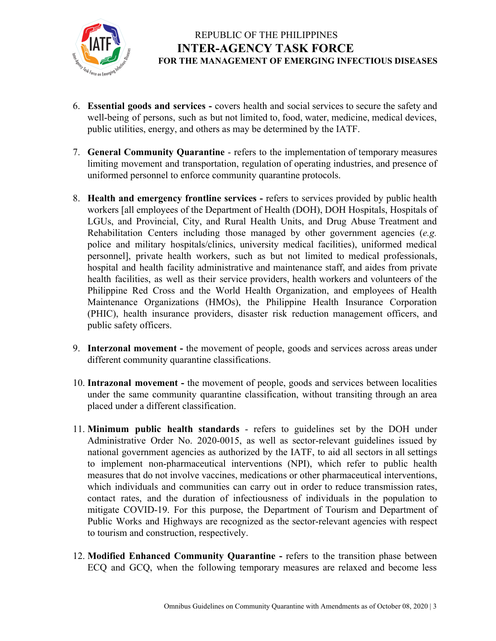

- 6. **Essential goods and services -** covers health and social services to secure the safety and well-being of persons, such as but not limited to, food, water, medicine, medical devices, public utilities, energy, and others as may be determined by the IATF.
- 7. **General Community Quarantine** refers to the implementation of temporary measures limiting movement and transportation, regulation of operating industries, and presence of uniformed personnel to enforce community quarantine protocols.
- 8. **Health and emergency frontline services -** refers to services provided by public health workers [all employees of the Department of Health (DOH), DOH Hospitals, Hospitals of LGUs, and Provincial, City, and Rural Health Units, and Drug Abuse Treatment and Rehabilitation Centers including those managed by other government agencies (*e.g.* police and military hospitals/clinics, university medical facilities), uniformed medical personnel], private health workers, such as but not limited to medical professionals, hospital and health facility administrative and maintenance staff, and aides from private health facilities, as well as their service providers, health workers and volunteers of the Philippine Red Cross and the World Health Organization, and employees of Health Maintenance Organizations (HMOs), the Philippine Health Insurance Corporation (PHIC), health insurance providers, disaster risk reduction management officers, and public safety officers.
- 9. **Interzonal movement -** the movement of people, goods and services across areas under different community quarantine classifications.
- 10. **Intrazonal movement -** the movement of people, goods and services between localities under the same community quarantine classification, without transiting through an area placed under a different classification.
- 11. **Minimum public health standards** refers to guidelines set by the DOH under Administrative Order No. 2020-0015, as well as sector-relevant guidelines issued by national government agencies as authorized by the IATF, to aid all sectors in all settings to implement non-pharmaceutical interventions (NPI), which refer to public health measures that do not involve vaccines, medications or other pharmaceutical interventions, which individuals and communities can carry out in order to reduce transmission rates, contact rates, and the duration of infectiousness of individuals in the population to mitigate COVID-19. For this purpose, the Department of Tourism and Department of Public Works and Highways are recognized as the sector-relevant agencies with respect to tourism and construction, respectively.
- 12. **Modified Enhanced Community Quarantine -** refers to the transition phase between ECQ and GCQ, when the following temporary measures are relaxed and become less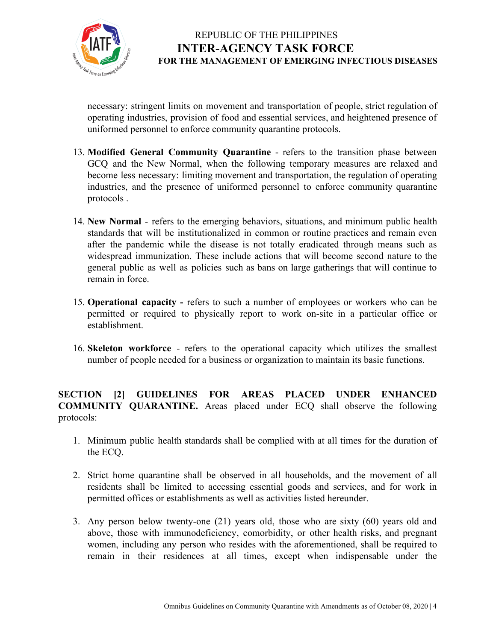

necessary: stringent limits on movement and transportation of people, strict regulation of operating industries, provision of food and essential services, and heightened presence of uniformed personnel to enforce community quarantine protocols.

- 13. **Modified General Community Quarantine** refers to the transition phase between GCQ and the New Normal, when the following temporary measures are relaxed and become less necessary: limiting movement and transportation, the regulation of operating industries, and the presence of uniformed personnel to enforce community quarantine protocols .
- 14. **New Normal** refers to the emerging behaviors, situations, and minimum public health standards that will be institutionalized in common or routine practices and remain even after the pandemic while the disease is not totally eradicated through means such as widespread immunization. These include actions that will become second nature to the general public as well as policies such as bans on large gatherings that will continue to remain in force.
- 15. **Operational capacity -** refers to such a number of employees or workers who can be permitted or required to physically report to work on-site in a particular office or establishment.
- 16. **Skeleton workforce** refers to the operational capacity which utilizes the [smallest](https://dictionary.cambridge.org/us/dictionary/english/small) [number](https://dictionary.cambridge.org/us/dictionary/english/number) of [people](https://dictionary.cambridge.org/us/dictionary/english/people) [needed](https://dictionary.cambridge.org/us/dictionary/english/needed) for a [business](https://dictionary.cambridge.org/us/dictionary/english/business) or [organization](https://dictionary.cambridge.org/us/dictionary/english/organization) to maintain its basic functions.

**SECTION [2] GUIDELINES FOR AREAS PLACED UNDER ENHANCED COMMUNITY QUARANTINE.** Areas placed under ECQ shall observe the following protocols:

- 1. Minimum public health standards shall be complied with at all times for the duration of the ECQ.
- 2. Strict home quarantine shall be observed in all households, and the movement of all residents shall be limited to accessing essential goods and services, and for work in permitted offices or establishments as well as activities listed hereunder.
- 3. Any person below twenty-one (21) years old, those who are sixty (60) years old and above, those with immunodeficiency, comorbidity, or other health risks, and pregnant women, including any person who resides with the aforementioned, shall be required to remain in their residences at all times, except when indispensable under the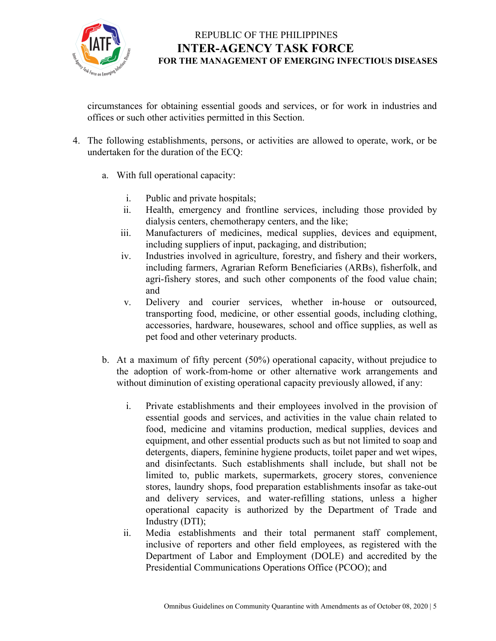

circumstances for obtaining essential goods and services, or for work in industries and offices or such other activities permitted in this Section.

- 4. The following establishments, persons, or activities are allowed to operate, work, or be undertaken for the duration of the ECQ:
	- a. With full operational capacity:
		- i. Public and private hospitals;
		- ii. Health, emergency and frontline services, including those provided by dialysis centers, chemotherapy centers, and the like;
		- iii. Manufacturers of medicines, medical supplies, devices and equipment, including suppliers of input, packaging, and distribution;
		- iv. Industries involved in agriculture, forestry, and fishery and their workers, including farmers, Agrarian Reform Beneficiaries (ARBs), fisherfolk, and agri-fishery stores, and such other components of the food value chain; and
		- v. Delivery and courier services, whether in-house or outsourced, transporting food, medicine, or other essential goods, including clothing, accessories, hardware, housewares, school and office supplies, as well as pet food and other veterinary products.
	- b. At a maximum of fifty percent (50%) operational capacity, without prejudice to the adoption of work-from-home or other alternative work arrangements and without diminution of existing operational capacity previously allowed, if any:
		- i. Private establishments and their employees involved in the provision of essential goods and services, and activities in the value chain related to food, medicine and vitamins production, medical supplies, devices and equipment, and other essential products such as but not limited to soap and detergents, diapers, feminine hygiene products, toilet paper and wet wipes, and disinfectants. Such establishments shall include, but shall not be limited to, public markets, supermarkets, grocery stores, convenience stores, laundry shops, food preparation establishments insofar as take-out and delivery services, and water-refilling stations, unless a higher operational capacity is authorized by the Department of Trade and Industry (DTI);
		- ii. Media establishments and their total permanent staff complement, inclusive of reporters and other field employees, as registered with the Department of Labor and Employment (DOLE) and accredited by the Presidential Communications Operations Office (PCOO); and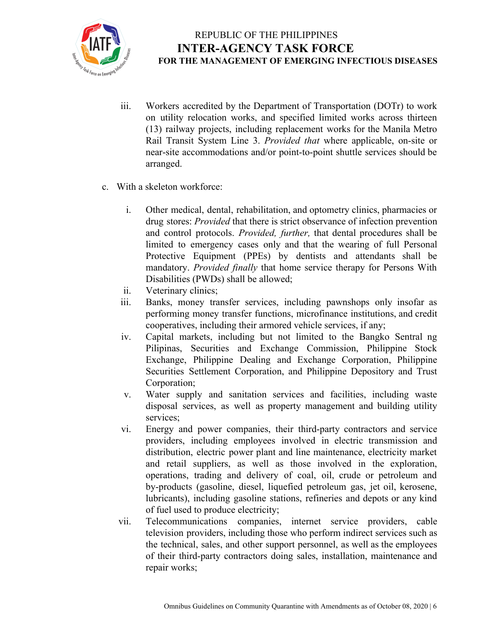

- iii. Workers accredited by the Department of Transportation (DOTr) to work on utility relocation works, and specified limited works across thirteen (13) railway projects, including replacement works for the Manila Metro Rail Transit System Line 3. *Provided that* where applicable, on-site or near-site accommodations and/or point-to-point shuttle services should be arranged.
- c. With a skeleton workforce:
	- i. Other medical, dental, rehabilitation, and optometry clinics, pharmacies or drug stores: *Provided* that there is strict observance of infection prevention and control protocols. *Provided, further,* that dental procedures shall be limited to emergency cases only and that the wearing of full Personal Protective Equipment (PPEs) by dentists and attendants shall be mandatory. *Provided finally* that home service therapy for Persons With Disabilities (PWDs) shall be allowed;
	- ii. Veterinary clinics;
	- iii. Banks, money transfer services, including pawnshops only insofar as performing money transfer functions, microfinance institutions, and credit cooperatives, including their armored vehicle services, if any;
	- iv. Capital markets, including but not limited to the Bangko Sentral ng Pilipinas, Securities and Exchange Commission, Philippine Stock Exchange, Philippine Dealing and Exchange Corporation, Philippine Securities Settlement Corporation, and Philippine Depository and Trust Corporation;
	- v. Water supply and sanitation services and facilities, including waste disposal services, as well as property management and building utility services;
	- vi. Energy and power companies, their third-party contractors and service providers, including employees involved in electric transmission and distribution, electric power plant and line maintenance, electricity market and retail suppliers, as well as those involved in the exploration, operations, trading and delivery of coal, oil, crude or petroleum and by-products (gasoline, diesel, liquefied petroleum gas, jet oil, kerosene, lubricants), including gasoline stations, refineries and depots or any kind of fuel used to produce electricity;
	- vii. Telecommunications companies, internet service providers, cable television providers, including those who perform indirect services such as the technical, sales, and other support personnel, as well as the employees of their third-party contractors doing sales, installation, maintenance and repair works;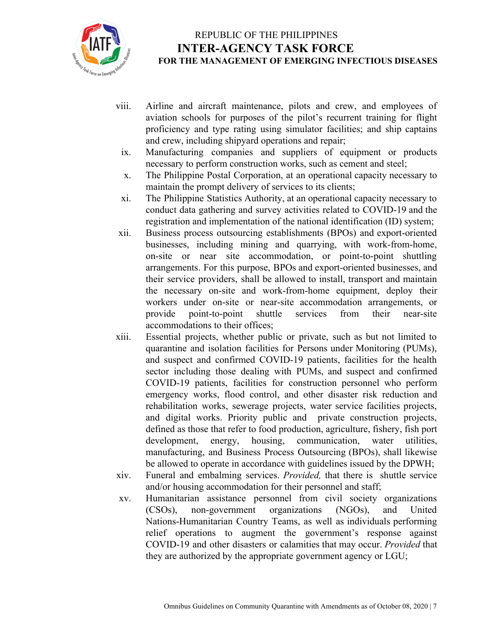

- viii. Airline and aircraft maintenance, pilots and crew, and employees of aviation schools for purposes of the pilot's recurrent training for flight proficiency and type rating using simulator facilities; and ship captains and crew, including shipyard operations and repair;
- ix. Manufacturing companies and suppliers of equipment or products necessary to perform construction works, such as cement and steel;
- x. The Philippine Postal Corporation, at an operational capacity necessary to maintain the prompt delivery of services to its clients;
- xi. The Philippine Statistics Authority, at an operational capacity necessary to conduct data gathering and survey activities related to COVID-19 and the registration and implementation of the national identification (ID) system;
- xii. Business process outsourcing establishments (BPOs) and export-oriented businesses, including mining and quarrying, with work-from-home, on-site or near site accommodation, or point-to-point shuttling arrangements. For this purpose, BPOs and export-oriented businesses, and their service providers, shall be allowed to install, transport and maintain the necessary on-site and work-from-home equipment, deploy their workers under on-site or near-site accommodation arrangements, or provide point-to-point shuttle services from their near-site accommodations to their offices;
- xiii. Essential projects, whether public or private, such as but not limited to quarantine and isolation facilities for Persons under Monitoring (PUMs), and suspect and confirmed COVID-19 patients, facilities for the health sector including those dealing with PUMs, and suspect and confirmed COVID-19 patients, facilities for construction personnel who perform emergency works, flood control, and other disaster risk reduction and rehabilitation works, sewerage projects, water service facilities projects, and digital works. Priority public and private construction projects, defined as those that refer to food production, agriculture, fishery, fish port development, energy, housing, communication, water utilities, manufacturing, and Business Process Outsourcing (BPOs), shall likewise be allowed to operate in accordance with guidelines issued by the DPWH;
- xiv. Funeral and embalming services. *Provided,* that there is shuttle service and/or housing accommodation for their personnel and staff;
- xv. Humanitarian assistance personnel from civil society organizations (CSOs), non-government organizations (NGOs), and United Nations-Humanitarian Country Teams, as well as individuals performing relief operations to augment the government's response against COVID-19 and other disasters or calamities that may occur. *Provided* that they are authorized by the appropriate government agency or LGU;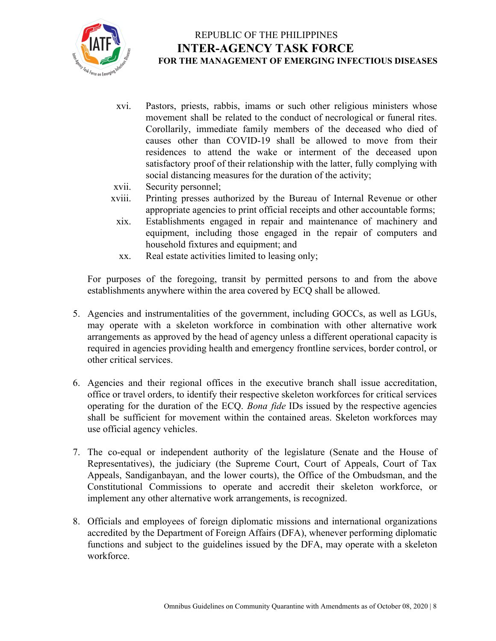

- xvi. Pastors, priests, rabbis, imams or such other religious ministers whose movement shall be related to the conduct of necrological or funeral rites. Corollarily, immediate family members of the deceased who died of causes other than COVID-19 shall be allowed to move from their residences to attend the wake or interment of the deceased upon satisfactory proof of their relationship with the latter, fully complying with social distancing measures for the duration of the activity;
- xvii. Security personnel;
- xviii. Printing presses authorized by the Bureau of Internal Revenue or other appropriate agencies to print official receipts and other accountable forms;
- xix. Establishments engaged in repair and maintenance of machinery and equipment, including those engaged in the repair of computers and household fixtures and equipment; and
- xx. Real estate activities limited to leasing only;

For purposes of the foregoing, transit by permitted persons to and from the above establishments anywhere within the area covered by ECQ shall be allowed.

- 5. Agencies and instrumentalities of the government, including GOCCs, as well as LGUs, may operate with a skeleton workforce in combination with other alternative work arrangements as approved by the head of agency unless a different operational capacity is required in agencies providing health and emergency frontline services, border control, or other critical services.
- 6. Agencies and their regional offices in the executive branch shall issue accreditation, office or travel orders, to identify their respective skeleton workforces for critical services operating for the duration of the ECQ. *Bona fide* IDs issued by the respective agencies shall be sufficient for movement within the contained areas. Skeleton workforces may use official agency vehicles.
- 7. The co-equal or independent authority of the legislature (Senate and the House of Representatives), the judiciary (the Supreme Court, Court of Appeals, Court of Tax Appeals, Sandiganbayan, and the lower courts), the Office of the Ombudsman, and the Constitutional Commissions to operate and accredit their skeleton workforce, or implement any other alternative work arrangements, is recognized.
- 8. Officials and employees of foreign diplomatic missions and international organizations accredited by the Department of Foreign Affairs (DFA), whenever performing diplomatic functions and subject to the guidelines issued by the DFA, may operate with a skeleton workforce.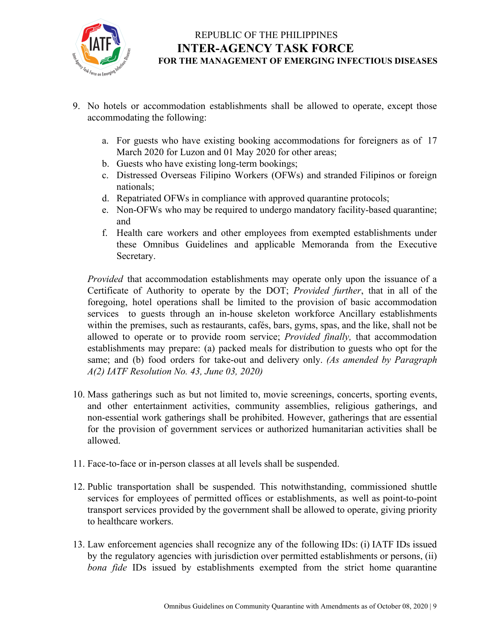

- 9. No hotels or accommodation establishments shall be allowed to operate, except those accommodating the following:
	- a. For guests who have existing booking accommodations for foreigners as of 17 March 2020 for Luzon and 01 May 2020 for other areas;
	- b. Guests who have existing long-term bookings;
	- c. Distressed Overseas Filipino Workers (OFWs) and stranded Filipinos or foreign nationals;
	- d. Repatriated OFWs in compliance with approved quarantine protocols;
	- e. Non-OFWs who may be required to undergo mandatory facility-based quarantine; and
	- f. Health care workers and other employees from exempted establishments under these Omnibus Guidelines and applicable Memoranda from the Executive Secretary.

*Provided* that accommodation establishments may operate only upon the issuance of a Certificate of Authority to operate by the DOT; *Provided further*, that in all of the foregoing, hotel operations shall be limited to the provision of basic accommodation services to guests through an in-house skeleton workforce Ancillary establishments within the premises, such as restaurants, cafés, bars, gyms, spas, and the like, shall not be allowed to operate or to provide room service; *Provided finally,* that accommodation establishments may prepare: (a) packed meals for distribution to guests who opt for the same; and (b) food orders for take-out and delivery only. *(As amended by Paragraph A(2) IATF Resolution No. 43, June 03, 2020)*

- 10. Mass gatherings such as but not limited to, movie screenings, concerts, sporting events, and other entertainment activities, community assemblies, religious gatherings, and non-essential work gatherings shall be prohibited. However, gatherings that are essential for the provision of government services or authorized humanitarian activities shall be allowed.
- 11. Face-to-face or in-person classes at all levels shall be suspended.
- 12. Public transportation shall be suspended. This notwithstanding, commissioned shuttle services for employees of permitted offices or establishments, as well as point-to-point transport services provided by the government shall be allowed to operate, giving priority to healthcare workers.
- 13. Law enforcement agencies shall recognize any of the following IDs: (i) IATF IDs issued by the regulatory agencies with jurisdiction over permitted establishments or persons, (ii) *bona fide* IDs issued by establishments exempted from the strict home quarantine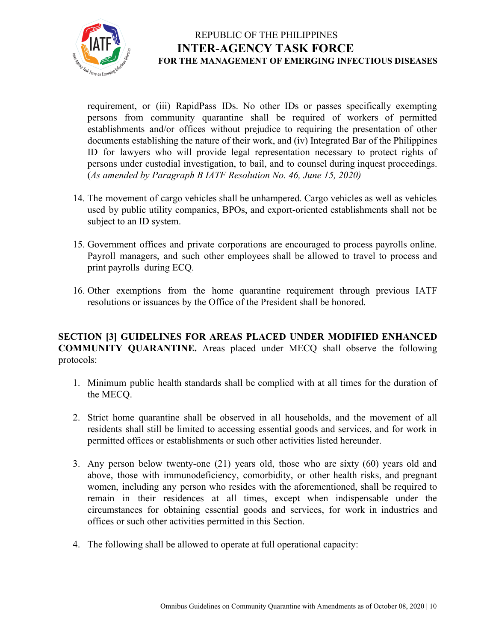

requirement, or (iii) RapidPass IDs. No other IDs or passes specifically exempting persons from community quarantine shall be required of workers of permitted establishments and/or offices without prejudice to requiring the presentation of other documents establishing the nature of their work, and (iv) Integrated Bar of the Philippines ID for lawyers who will provide legal representation necessary to protect rights of persons under custodial investigation, to bail, and to counsel during inquest proceedings. (*As amended by Paragraph B IATF Resolution No. 46, June 15, 2020)*

- 14. The movement of cargo vehicles shall be unhampered. Cargo vehicles as well as vehicles used by public utility companies, BPOs, and export-oriented establishments shall not be subject to an ID system.
- 15. Government offices and private corporations are encouraged to process payrolls online. Payroll managers, and such other employees shall be allowed to travel to process and print payrolls during ECQ.
- 16. Other exemptions from the home quarantine requirement through previous IATF resolutions or issuances by the Office of the President shall be honored.

**SECTION [3] GUIDELINES FOR AREAS PLACED UNDER MODIFIED ENHANCED COMMUNITY QUARANTINE.** Areas placed under MECQ shall observe the following protocols:

- 1. Minimum public health standards shall be complied with at all times for the duration of the MECQ.
- 2. Strict home quarantine shall be observed in all households, and the movement of all residents shall still be limited to accessing essential goods and services, and for work in permitted offices or establishments or such other activities listed hereunder.
- 3. Any person below twenty-one (21) years old, those who are sixty (60) years old and above, those with immunodeficiency, comorbidity, or other health risks, and pregnant women, including any person who resides with the aforementioned, shall be required to remain in their residences at all times, except when indispensable under the circumstances for obtaining essential goods and services, for work in industries and offices or such other activities permitted in this Section.
- 4. The following shall be allowed to operate at full operational capacity: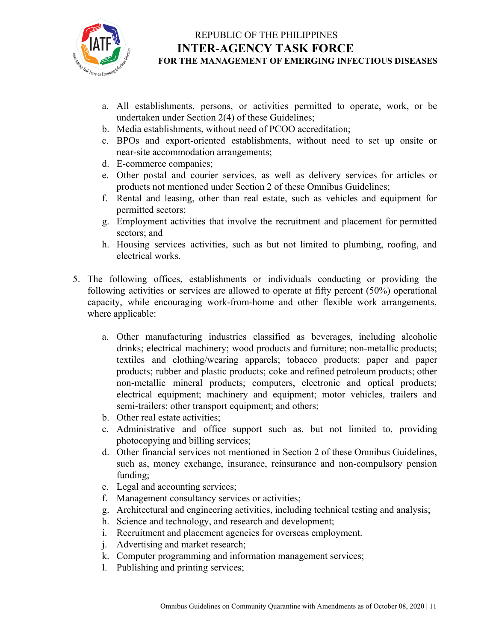

- a. All establishments, persons, or activities permitted to operate, work, or be undertaken under Section 2(4) of these Guidelines;
- b. Media establishments, without need of PCOO accreditation;
- c. BPOs and export-oriented establishments, without need to set up onsite or near-site accommodation arrangements;
- d. E-commerce companies;
- e. Other postal and courier services, as well as delivery services for articles or products not mentioned under Section 2 of these Omnibus Guidelines;
- f. Rental and leasing, other than real estate, such as vehicles and equipment for permitted sectors;
- g. Employment activities that involve the recruitment and placement for permitted sectors; and
- h. Housing services activities, such as but not limited to plumbing, roofing, and electrical works.
- 5. The following offices, establishments or individuals conducting or providing the following activities or services are allowed to operate at fifty percent (50%) operational capacity, while encouraging work-from-home and other flexible work arrangements, where applicable:
	- a. Other manufacturing industries classified as beverages, including alcoholic drinks; electrical machinery; wood products and furniture; non-metallic products; textiles and clothing/wearing apparels; tobacco products; paper and paper products; rubber and plastic products; coke and refined petroleum products; other non-metallic mineral products; computers, electronic and optical products; electrical equipment; machinery and equipment; motor vehicles, trailers and semi-trailers; other transport equipment; and others;
	- b. Other real estate activities;
	- c. Administrative and office support such as, but not limited to, providing photocopying and billing services;
	- d. Other financial services not mentioned in Section 2 of these Omnibus Guidelines, such as, money exchange, insurance, reinsurance and non-compulsory pension funding;
	- e. Legal and accounting services;
	- f. Management consultancy services or activities;
	- g. Architectural and engineering activities, including technical testing and analysis;
	- h. Science and technology, and research and development;
	- i. Recruitment and placement agencies for overseas employment.
	- j. Advertising and market research;
	- k. Computer programming and information management services;
	- l. Publishing and printing services;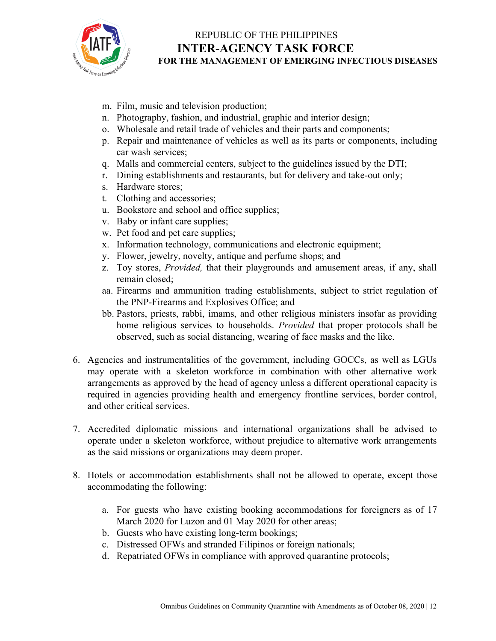

- m. Film, music and television production;
- n. Photography, fashion, and industrial, graphic and interior design;
- o. Wholesale and retail trade of vehicles and their parts and components;
- p. Repair and maintenance of vehicles as well as its parts or components, including car wash services;
- q. Malls and commercial centers, subject to the guidelines issued by the DTI;
- r. Dining establishments and restaurants, but for delivery and take-out only;
- s. Hardware stores;
- t. Clothing and accessories;
- u. Bookstore and school and office supplies;
- v. Baby or infant care supplies;
- w. Pet food and pet care supplies;
- x. Information technology, communications and electronic equipment;
- y. Flower, jewelry, novelty, antique and perfume shops; and
- z. Toy stores, *Provided,* that their playgrounds and amusement areas, if any, shall remain closed;
- aa. Firearms and ammunition trading establishments, subject to strict regulation of the PNP-Firearms and Explosives Office; and
- bb. Pastors, priests, rabbi, imams, and other religious ministers insofar as providing home religious services to households. *Provided* that proper protocols shall be observed, such as social distancing, wearing of face masks and the like.
- 6. Agencies and instrumentalities of the government, including GOCCs, as well as LGUs may operate with a skeleton workforce in combination with other alternative work arrangements as approved by the head of agency unless a different operational capacity is required in agencies providing health and emergency frontline services, border control, and other critical services.
- 7. Accredited diplomatic missions and international organizations shall be advised to operate under a skeleton workforce, without prejudice to alternative work arrangements as the said missions or organizations may deem proper.
- 8. Hotels or accommodation establishments shall not be allowed to operate, except those accommodating the following:
	- a. For guests who have existing booking accommodations for foreigners as of 17 March 2020 for Luzon and 01 May 2020 for other areas;
	- b. Guests who have existing long-term bookings;
	- c. Distressed OFWs and stranded Filipinos or foreign nationals;
	- d. Repatriated OFWs in compliance with approved quarantine protocols;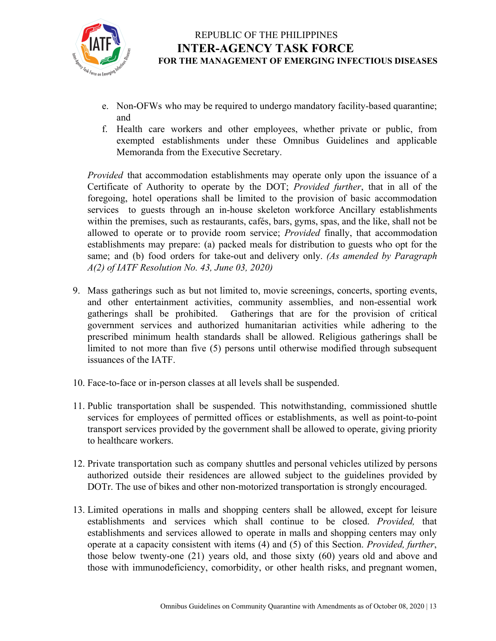

- e. Non-OFWs who may be required to undergo mandatory facility-based quarantine; and
- f. Health care workers and other employees, whether private or public, from exempted establishments under these Omnibus Guidelines and applicable Memoranda from the Executive Secretary.

*Provided* that accommodation establishments may operate only upon the issuance of a Certificate of Authority to operate by the DOT; *Provided further*, that in all of the foregoing, hotel operations shall be limited to the provision of basic accommodation services to guests through an in-house skeleton workforce Ancillary establishments within the premises, such as restaurants, cafés, bars, gyms, spas, and the like, shall not be allowed to operate or to provide room service; *Provided* finally, that accommodation establishments may prepare: (a) packed meals for distribution to guests who opt for the same; and (b) food orders for take-out and delivery only. *(As amended by Paragraph A(2) of IATF Resolution No. 43, June 03, 2020)*

- 9. Mass gatherings such as but not limited to, movie screenings, concerts, sporting events, and other entertainment activities, community assemblies, and non-essential work gatherings shall be prohibited. Gatherings that are for the provision of critical government services and authorized humanitarian activities while adhering to the prescribed minimum health standards shall be allowed. Religious gatherings shall be limited to not more than five (5) persons until otherwise modified through subsequent issuances of the IATF.
- 10. Face-to-face or in-person classes at all levels shall be suspended.
- 11. Public transportation shall be suspended. This notwithstanding, commissioned shuttle services for employees of permitted offices or establishments, as well as point-to-point transport services provided by the government shall be allowed to operate, giving priority to healthcare workers.
- 12. Private transportation such as company shuttles and personal vehicles utilized by persons authorized outside their residences are allowed subject to the guidelines provided by DOTr. The use of bikes and other non-motorized transportation is strongly encouraged.
- 13. Limited operations in malls and shopping centers shall be allowed, except for leisure establishments and services which shall continue to be closed. *Provided,* that establishments and services allowed to operate in malls and shopping centers may only operate at a capacity consistent with items (4) and (5) of this Section. *Provided, further*, those below twenty-one (21) years old, and those sixty (60) years old and above and those with immunodeficiency, comorbidity, or other health risks, and pregnant women,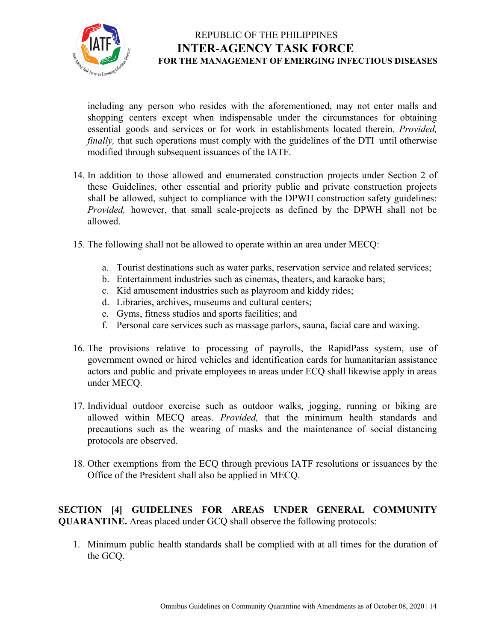

including any person who resides with the aforementioned, may not enter malls and shopping centers except when indispensable under the circumstances for obtaining essential goods and services or for work in establishments located therein. *Provided, finally*, that such operations must comply with the guidelines of the DTI until otherwise modified through subsequent issuances of the IATF.

- 14. In addition to those allowed and enumerated construction projects under Section 2 of these Guidelines, other essential and priority public and private construction projects shall be allowed, subject to compliance with the DPWH construction safety guidelines: *Provided,* however, that small scale-projects as defined by the DPWH shall not be allowed.
- 15. The following shall not be allowed to operate within an area under MECQ:
	- a. Tourist destinations such as water parks, reservation service and related services;
	- b. Entertainment industries such as cinemas, theaters, and karaoke bars;
	- c. Kid amusement industries such as playroom and kiddy rides;
	- d. Libraries, archives, museums and cultural centers;
	- e. Gyms, fitness studios and sports facilities; and
	- f. Personal care services such as massage parlors, sauna, facial care and waxing.
- 16. The provisions relative to processing of payrolls, the RapidPass system, use of government owned or hired vehicles and identification cards for humanitarian assistance actors and public and private employees in areas under ECQ shall likewise apply in areas under MECQ.
- 17. Individual outdoor exercise such as outdoor walks, jogging, running or biking are allowed within MECQ areas. *Provided,* that the minimum health standards and precautions such as the wearing of masks and the maintenance of social distancing protocols are observed.
- 18. Other exemptions from the ECQ through previous IATF resolutions or issuances by the Office of the President shall also be applied in MECQ.

**SECTION [4] GUIDELINES FOR AREAS UNDER GENERAL COMMUNITY QUARANTINE.** Areas placed under GCQ shall observe the following protocols:

1. Minimum public health standards shall be complied with at all times for the duration of the GCQ.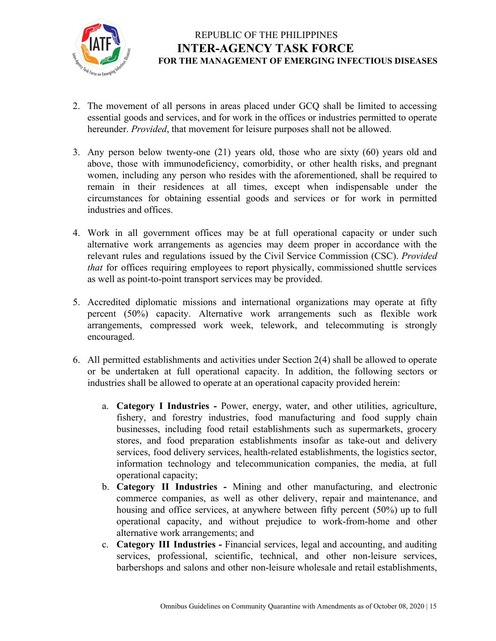

- 2. The movement of all persons in areas placed under GCQ shall be limited to accessing essential goods and services, and for work in the offices or industries permitted to operate hereunder. *Provided*, that movement for leisure purposes shall not be allowed.
- 3. Any person below twenty-one (21) years old, those who are sixty (60) years old and above, those with immunodeficiency, comorbidity, or other health risks, and pregnant women, including any person who resides with the aforementioned, shall be required to remain in their residences at all times, except when indispensable under the circumstances for obtaining essential goods and services or for work in permitted industries and offices.
- 4. Work in all government offices may be at full operational capacity or under such alternative work arrangements as agencies may deem proper in accordance with the relevant rules and regulations issued by the Civil Service Commission (CSC). *Provided that* for offices requiring employees to report physically, commissioned shuttle services as well as point-to-point transport services may be provided.
- 5. Accredited diplomatic missions and international organizations may operate at fifty percent (50%) capacity. Alternative work arrangements such as flexible work arrangements, compressed work week, telework, and telecommuting is strongly encouraged.
- 6. All permitted establishments and activities under Section 2(4) shall be allowed to operate or be undertaken at full operational capacity. In addition, the following sectors or industries shall be allowed to operate at an operational capacity provided herein:
	- a. **Category I Industries -** Power, energy, water, and other utilities, agriculture, fishery, and forestry industries, food manufacturing and food supply chain businesses, including food retail establishments such as supermarkets, grocery stores, and food preparation establishments insofar as take-out and delivery services, food delivery services, health-related establishments, the logistics sector, information technology and telecommunication companies, the media, at full operational capacity;
	- b. **Category II Industries -** Mining and other manufacturing, and electronic commerce companies, as well as other delivery, repair and maintenance, and housing and office services, at anywhere between fifty percent (50%) up to full operational capacity, and without prejudice to work-from-home and other alternative work arrangements; and
	- c. **Category III Industries -** Financial services, legal and accounting, and auditing services, professional, scientific, technical, and other non-leisure services, barbershops and salons and other non-leisure wholesale and retail establishments,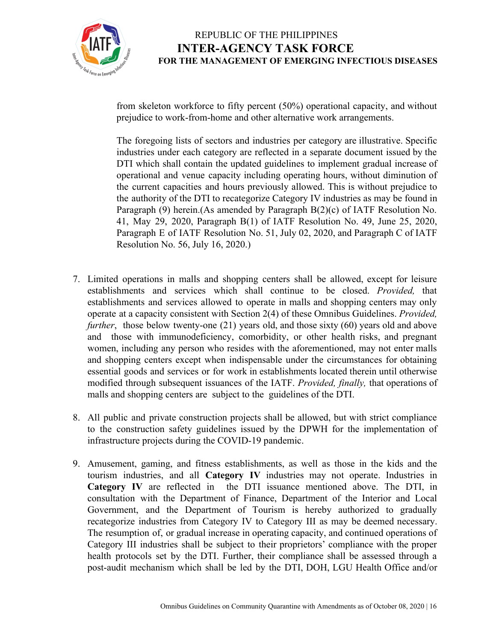

from skeleton workforce to fifty percent (50%) operational capacity, and without prejudice to work-from-home and other alternative work arrangements.

The foregoing lists of sectors and industries per category are illustrative. Specific industries under each category are reflected in a separate document issued by the DTI which shall contain the updated guidelines to implement gradual increase of operational and venue capacity including operating hours, without diminution of the current capacities and hours previously allowed. This is without prejudice to the authority of the DTI to recategorize Category IV industries as may be found in Paragraph (9) herein.(As amended by Paragraph B(2)(c) of IATF Resolution No. 41, May 29, 2020, Paragraph B(1) of IATF Resolution No. 49, June 25, 2020, Paragraph E of IATF Resolution No. 51, July 02, 2020, and Paragraph C of IATF Resolution No. 56, July 16, 2020.)

- 7. Limited operations in malls and shopping centers shall be allowed, except for leisure establishments and services which shall continue to be closed. *Provided,* that establishments and services allowed to operate in malls and shopping centers may only operate at a capacity consistent with Section 2(4) of these Omnibus Guidelines. *Provided, further*, those below twenty-one (21) years old, and those sixty (60) years old and above and those with immunodeficiency, comorbidity, or other health risks, and pregnant women, including any person who resides with the aforementioned, may not enter malls and shopping centers except when indispensable under the circumstances for obtaining essential goods and services or for work in establishments located therein until otherwise modified through subsequent issuances of the IATF. *Provided, finally,* that operations of malls and shopping centers are subject to the guidelines of the DTI.
- 8. All public and private construction projects shall be allowed, but with strict compliance to the construction safety guidelines issued by the DPWH for the implementation of infrastructure projects during the COVID-19 pandemic.
- 9. Amusement, gaming, and fitness establishments, as well as those in the kids and the tourism industries, and all **Category IV** industries may not operate. Industries in **Category IV** are reflected in the DTI issuance mentioned above. The DTI, in consultation with the Department of Finance, Department of the Interior and Local Government, and the Department of Tourism is hereby authorized to gradually recategorize industries from Category IV to Category III as may be deemed necessary. The resumption of, or gradual increase in operating capacity, and continued operations of Category III industries shall be subject to their proprietors' compliance with the proper health protocols set by the DTI. Further, their compliance shall be assessed through a post-audit mechanism which shall be led by the DTI, DOH, LGU Health Office and/or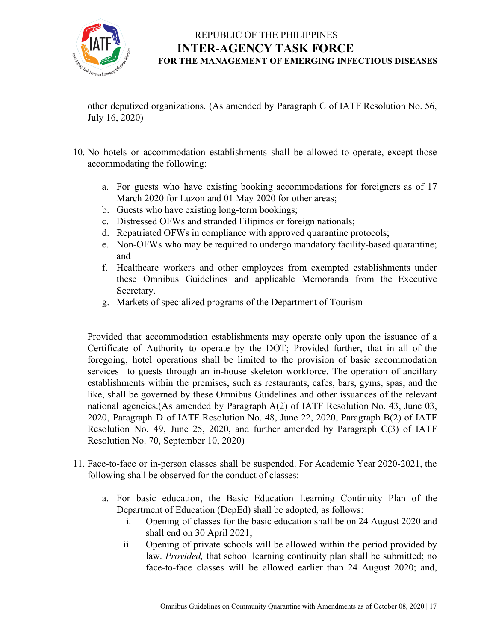

other deputized organizations. (As amended by Paragraph C of IATF Resolution No. 56, July 16, 2020)

- 10. No hotels or accommodation establishments shall be allowed to operate, except those accommodating the following:
	- a. For guests who have existing booking accommodations for foreigners as of 17 March 2020 for Luzon and 01 May 2020 for other areas;
	- b. Guests who have existing long-term bookings;
	- c. Distressed OFWs and stranded Filipinos or foreign nationals;
	- d. Repatriated OFWs in compliance with approved quarantine protocols;
	- e. Non-OFWs who may be required to undergo mandatory facility-based quarantine; and
	- f. Healthcare workers and other employees from exempted establishments under these Omnibus Guidelines and applicable Memoranda from the Executive Secretary.
	- g. Markets of specialized programs of the Department of Tourism

Provided that accommodation establishments may operate only upon the issuance of a Certificate of Authority to operate by the DOT; Provided further, that in all of the foregoing, hotel operations shall be limited to the provision of basic accommodation services to guests through an in-house skeleton workforce. The operation of ancillary establishments within the premises, such as restaurants, cafes, bars, gyms, spas, and the like, shall be governed by these Omnibus Guidelines and other issuances of the relevant national agencies.(As amended by Paragraph A(2) of IATF Resolution No. 43, June 03, 2020, Paragraph D of IATF Resolution No. 48, June 22, 2020, Paragraph B(2) of IATF Resolution No. 49, June 25, 2020, and further amended by Paragraph C(3) of IATF Resolution No. 70, September 10, 2020)

- 11. Face-to-face or in-person classes shall be suspended. For Academic Year 2020-2021, the following shall be observed for the conduct of classes:
	- a. For basic education, the Basic Education Learning Continuity Plan of the Department of Education (DepEd) shall be adopted, as follows:
		- i. Opening of classes for the basic education shall be on 24 August 2020 and shall end on 30 April 2021;
		- ii. Opening of private schools will be allowed within the period provided by law. *Provided,* that school learning continuity plan shall be submitted; no face-to-face classes will be allowed earlier than 24 August 2020; and,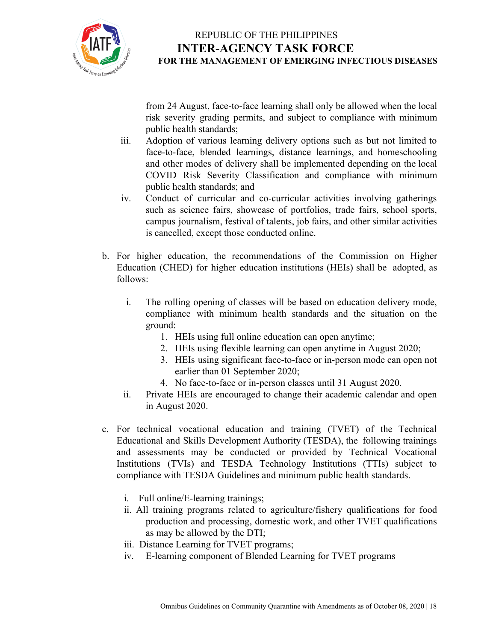

from 24 August, face-to-face learning shall only be allowed when the local risk severity grading permits, and subject to compliance with minimum public health standards;

- iii. Adoption of various learning delivery options such as but not limited to face-to-face, blended learnings, distance learnings, and homeschooling and other modes of delivery shall be implemented depending on the local COVID Risk Severity Classification and compliance with minimum public health standards; and
- iv. Conduct of curricular and co-curricular activities involving gatherings such as science fairs, showcase of portfolios, trade fairs, school sports, campus journalism, festival of talents, job fairs, and other similar activities is cancelled, except those conducted online.
- b. For higher education, the recommendations of the Commission on Higher Education (CHED) for higher education institutions (HEIs) shall be adopted, as follows:
	- i. The rolling opening of classes will be based on education delivery mode, compliance with minimum health standards and the situation on the ground:
		- 1. HEIs using full online education can open anytime;
		- 2. HEIs using flexible learning can open anytime in August 2020;
		- 3. HEIs using significant face-to-face or in-person mode can open not earlier than 01 September 2020;
		- 4. No face-to-face or in-person classes until 31 August 2020.
	- ii. Private HEIs are encouraged to change their academic calendar and open in August 2020.
- c. For technical vocational education and training (TVET) of the Technical Educational and Skills Development Authority (TESDA), the following trainings and assessments may be conducted or provided by Technical Vocational Institutions (TVIs) and TESDA Technology Institutions (TTIs) subject to compliance with TESDA Guidelines and minimum public health standards.
	- i. Full online/E-learning trainings;
	- ii. All training programs related to agriculture/fishery qualifications for food production and processing, domestic work, and other TVET qualifications as may be allowed by the DTI;
	- iii. Distance Learning for TVET programs;
	- iv. E-learning component of Blended Learning for TVET programs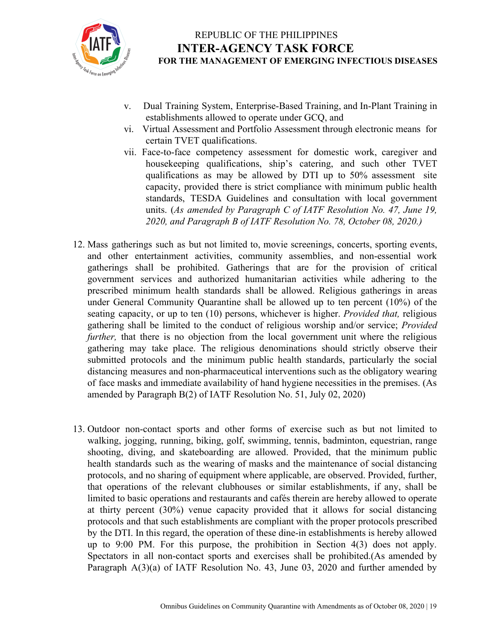

- v. Dual Training System, Enterprise-Based Training, and In-Plant Training in establishments allowed to operate under GCQ, and
- vi. Virtual Assessment and Portfolio Assessment through electronic means for certain TVET qualifications.
- vii. Face-to-face competency assessment for domestic work, caregiver and housekeeping qualifications, ship's catering, and such other TVET qualifications as may be allowed by DTI up to 50% assessment site capacity, provided there is strict compliance with minimum public health standards, TESDA Guidelines and consultation with local government units. (*As amended by Paragraph C of IATF Resolution No. 47, June 19, 2020, and Paragraph B of IATF Resolution No. 78, October 08, 2020.)*
- 12. Mass gatherings such as but not limited to, movie screenings, concerts, sporting events, and other entertainment activities, community assemblies, and non-essential work gatherings shall be prohibited. Gatherings that are for the provision of critical government services and authorized humanitarian activities while adhering to the prescribed minimum health standards shall be allowed. Religious gatherings in areas under General Community Quarantine shall be allowed up to ten percent (10%) of the seating capacity, or up to ten (10) persons, whichever is higher. *Provided that,* religious gathering shall be limited to the conduct of religious worship and/or service; *Provided further*, that there is no objection from the local government unit where the religious gathering may take place. The religious denominations should strictly observe their submitted protocols and the minimum public health standards, particularly the social distancing measures and non-pharmaceutical interventions such as the obligatory wearing of face masks and immediate availability of hand hygiene necessities in the premises. (As amended by Paragraph B(2) of IATF Resolution No. 51, July 02, 2020)
- 13. Outdoor non-contact sports and other forms of exercise such as but not limited to walking, jogging, running, biking, golf, swimming, tennis, badminton, equestrian, range shooting, diving, and skateboarding are allowed. Provided, that the minimum public health standards such as the wearing of masks and the maintenance of social distancing protocols, and no sharing of equipment where applicable, are observed. Provided, further, that operations of the relevant clubhouses or similar establishments, if any, shall be limited to basic operations and restaurants and cafés therein are hereby allowed to operate at thirty percent (30%) venue capacity provided that it allows for social distancing protocols and that such establishments are compliant with the proper protocols prescribed by the DTI. In this regard, the operation of these dine-in establishments is hereby allowed up to 9:00 PM. For this purpose, the prohibition in Section 4(3) does not apply. Spectators in all non-contact sports and exercises shall be prohibited.(As amended by Paragraph A(3)(a) of IATF Resolution No. 43, June 03, 2020 and further amended by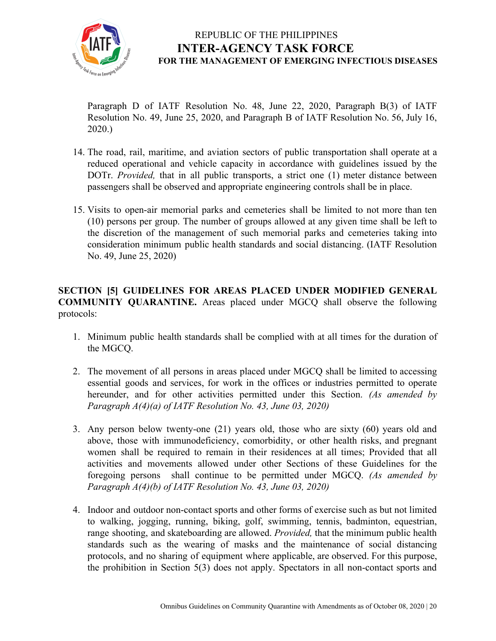

Paragraph D of IATF Resolution No. 48, June 22, 2020, Paragraph B(3) of IATF Resolution No. 49, June 25, 2020, and Paragraph B of IATF Resolution No. 56, July 16, 2020.)

- 14. The road, rail, maritime, and aviation sectors of public transportation shall operate at a reduced operational and vehicle capacity in accordance with guidelines issued by the DOTr. *Provided,* that in all public transports, a strict one (1) meter distance between passengers shall be observed and appropriate engineering controls shall be in place.
- 15. Visits to open-air memorial parks and cemeteries shall be limited to not more than ten (10) persons per group. The number of groups allowed at any given time shall be left to the discretion of the management of such memorial parks and cemeteries taking into consideration minimum public health standards and social distancing. (IATF Resolution No. 49, June 25, 2020)

**SECTION [5] GUIDELINES FOR AREAS PLACED UNDER MODIFIED GENERAL COMMUNITY QUARANTINE.** Areas placed under MGCQ shall observe the following protocols:

- 1. Minimum public health standards shall be complied with at all times for the duration of the MGCQ.
- 2. The movement of all persons in areas placed under MGCQ shall be limited to accessing essential goods and services, for work in the offices or industries permitted to operate hereunder, and for other activities permitted under this Section. *(As amended by Paragraph A(4)(a) of IATF Resolution No. 43, June 03, 2020)*
- 3. Any person below twenty-one (21) years old, those who are sixty (60) years old and above, those with immunodeficiency, comorbidity, or other health risks, and pregnant women shall be required to remain in their residences at all times; Provided that all activities and movements allowed under other Sections of these Guidelines for the foregoing persons shall continue to be permitted under MGCQ. *(As amended by Paragraph A(4)(b) of IATF Resolution No. 43, June 03, 2020)*
- 4. Indoor and outdoor non-contact sports and other forms of exercise such as but not limited to walking, jogging, running, biking, golf, swimming, tennis, badminton, equestrian, range shooting, and skateboarding are allowed. *Provided,* that the minimum public health standards such as the wearing of masks and the maintenance of social distancing protocols, and no sharing of equipment where applicable, are observed. For this purpose, the prohibition in Section 5(3) does not apply. Spectators in all non-contact sports and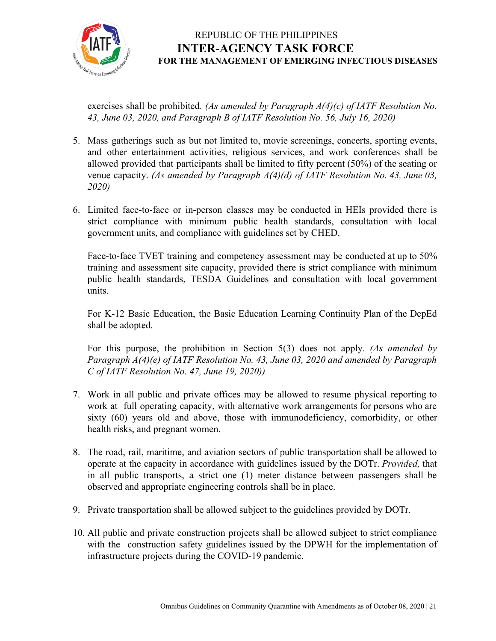

exercises shall be prohibited. *(As amended by Paragraph A(4)(c) of IATF Resolution No. 43, June 03, 2020, and Paragraph B of IATF Resolution No. 56, July 16, 2020)*

- 5. Mass gatherings such as but not limited to, movie screenings, concerts, sporting events, and other entertainment activities, religious services, and work conferences shall be allowed provided that participants shall be limited to fifty percent (50%) of the seating or venue capacity. *(As amended by Paragraph A(4)(d) of IATF Resolution No. 43, June 03, 2020)*
- 6. Limited face-to-face or in-person classes may be conducted in HEIs provided there is strict compliance with minimum public health standards, consultation with local government units, and compliance with guidelines set by CHED.

Face-to-face TVET training and competency assessment may be conducted at up to 50% training and assessment site capacity, provided there is strict compliance with minimum public health standards, TESDA Guidelines and consultation with local government units.

For K-12 Basic Education, the Basic Education Learning Continuity Plan of the DepEd shall be adopted.

For this purpose, the prohibition in Section 5(3) does not apply. *(As amended by Paragraph A(4)(e) of IATF Resolution No. 43, June 03, 2020 and amended by Paragraph C of IATF Resolution No. 47, June 19, 2020))*

- 7. Work in all public and private offices may be allowed to resume physical reporting to work at full operating capacity, with alternative work arrangements for persons who are sixty (60) years old and above, those with immunodeficiency, comorbidity, or other health risks, and pregnant women.
- 8. The road, rail, maritime, and aviation sectors of public transportation shall be allowed to operate at the capacity in accordance with guidelines issued by the DOTr. *Provided,* that in all public transports, a strict one (1) meter distance between passengers shall be observed and appropriate engineering controls shall be in place.
- 9. Private transportation shall be allowed subject to the guidelines provided by DOTr.
- 10. All public and private construction projects shall be allowed subject to strict compliance with the construction safety guidelines issued by the DPWH for the implementation of infrastructure projects during the COVID-19 pandemic.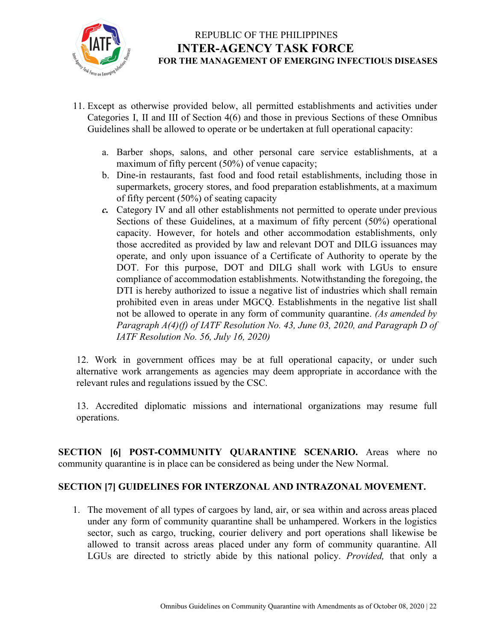

- 11. Except as otherwise provided below, all permitted establishments and activities under Categories I, II and III of Section 4(6) and those in previous Sections of these Omnibus Guidelines shall be allowed to operate or be undertaken at full operational capacity:
	- a. Barber shops, salons, and other personal care service establishments, at a maximum of fifty percent (50%) of venue capacity;
	- b. Dine-in restaurants, fast food and food retail establishments, including those in supermarkets, grocery stores, and food preparation establishments, at a maximum of fifty percent (50%) of seating capacity
	- *c.* Category IV and all other establishments not permitted to operate under previous Sections of these Guidelines, at a maximum of fifty percent (50%) operational capacity. However, for hotels and other accommodation establishments, only those accredited as provided by law and relevant DOT and DILG issuances may operate, and only upon issuance of a Certificate of Authority to operate by the DOT. For this purpose, DOT and DILG shall work with LGUs to ensure compliance of accommodation establishments. Notwithstanding the foregoing, the DTI is hereby authorized to issue a negative list of industries which shall remain prohibited even in areas under MGCQ. Establishments in the negative list shall not be allowed to operate in any form of community quarantine. *(As amended by Paragraph A(4)(f) of IATF Resolution No. 43, June 03, 2020, and Paragraph D of IATF Resolution No. 56, July 16, 2020)*

12. Work in government offices may be at full operational capacity, or under such alternative work arrangements as agencies may deem appropriate in accordance with the relevant rules and regulations issued by the CSC.

13. Accredited diplomatic missions and international organizations may resume full operations.

**SECTION [6] POST-COMMUNITY QUARANTINE SCENARIO.** Areas where no community quarantine is in place can be considered as being under the New Normal.

#### **SECTION [7] GUIDELINES FOR INTERZONAL AND INTRAZONAL MOVEMENT.**

1. The movement of all types of cargoes by land, air, or sea within and across areas placed under any form of community quarantine shall be unhampered. Workers in the logistics sector, such as cargo, trucking, courier delivery and port operations shall likewise be allowed to transit across areas placed under any form of community quarantine. All LGUs are directed to strictly abide by this national policy. *Provided,* that only a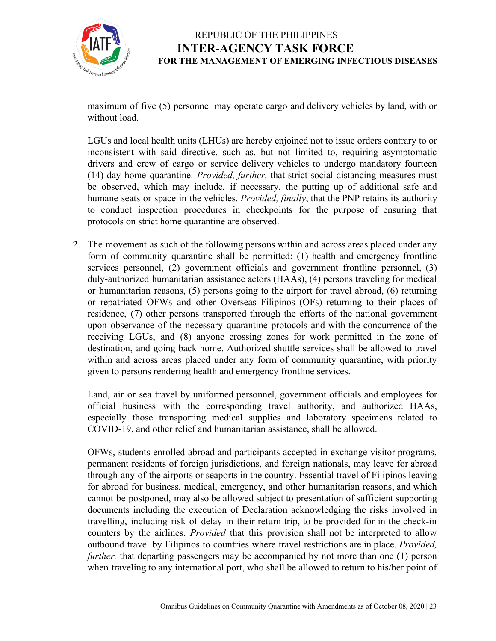

maximum of five (5) personnel may operate cargo and delivery vehicles by land, with or without load.

LGUs and local health units (LHUs) are hereby enjoined not to issue orders contrary to or inconsistent with said directive, such as, but not limited to, requiring asymptomatic drivers and crew of cargo or service delivery vehicles to undergo mandatory fourteen (14)-day home quarantine. *Provided, further,* that strict social distancing measures must be observed, which may include, if necessary, the putting up of additional safe and humane seats or space in the vehicles. *Provided, finally*, that the PNP retains its authority to conduct inspection procedures in checkpoints for the purpose of ensuring that protocols on strict home quarantine are observed.

2. The movement as such of the following persons within and across areas placed under any form of community quarantine shall be permitted: (1) health and emergency frontline services personnel, (2) government officials and government frontline personnel, (3) duly-authorized humanitarian assistance actors (HAAs), (4) persons traveling for medical or humanitarian reasons, (5) persons going to the airport for travel abroad, (6) returning or repatriated OFWs and other Overseas Filipinos (OFs) returning to their places of residence, (7) other persons transported through the efforts of the national government upon observance of the necessary quarantine protocols and with the concurrence of the receiving LGUs, and (8) anyone crossing zones for work permitted in the zone of destination, and going back home. Authorized shuttle services shall be allowed to travel within and across areas placed under any form of community quarantine, with priority given to persons rendering health and emergency frontline services.

Land, air or sea travel by uniformed personnel, government officials and employees for official business with the corresponding travel authority, and authorized HAAs, especially those transporting medical supplies and laboratory specimens related to COVID-19, and other relief and humanitarian assistance, shall be allowed.

OFWs, students enrolled abroad and participants accepted in exchange visitor programs, permanent residents of foreign jurisdictions, and foreign nationals, may leave for abroad through any of the airports or seaports in the country. Essential travel of Filipinos leaving for abroad for business, medical, emergency, and other humanitarian reasons, and which cannot be postponed, may also be allowed subject to presentation of sufficient supporting documents including the execution of Declaration acknowledging the risks involved in travelling, including risk of delay in their return trip, to be provided for in the check-in counters by the airlines. *Provided* that this provision shall not be interpreted to allow outbound travel by Filipinos to countries where travel restrictions are in place. *Provided, further*, that departing passengers may be accompanied by not more than one (1) person when traveling to any international port, who shall be allowed to return to his/her point of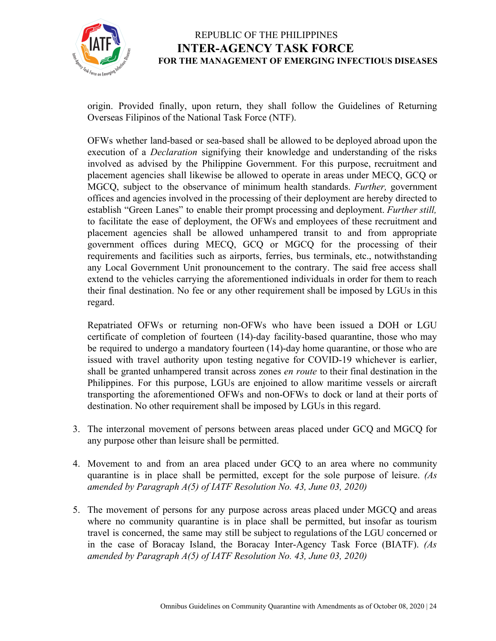

origin. Provided finally, upon return, they shall follow the Guidelines of Returning Overseas Filipinos of the National Task Force (NTF).

OFWs whether land-based or sea-based shall be allowed to be deployed abroad upon the execution of a *Declaration* signifying their knowledge and understanding of the risks involved as advised by the Philippine Government. For this purpose, recruitment and placement agencies shall likewise be allowed to operate in areas under MECQ, GCQ or MGCQ, subject to the observance of minimum health standards. *Further,* government offices and agencies involved in the processing of their deployment are hereby directed to establish "Green Lanes" to enable their prompt processing and deployment. *Further still,* to facilitate the ease of deployment, the OFWs and employees of these recruitment and placement agencies shall be allowed unhampered transit to and from appropriate government offices during MECQ, GCQ or MGCQ for the processing of their requirements and facilities such as airports, ferries, bus terminals, etc., notwithstanding any Local Government Unit pronouncement to the contrary. The said free access shall extend to the vehicles carrying the aforementioned individuals in order for them to reach their final destination. No fee or any other requirement shall be imposed by LGUs in this regard.

Repatriated OFWs or returning non-OFWs who have been issued a DOH or LGU certificate of completion of fourteen (14)-day facility-based quarantine, those who may be required to undergo a mandatory fourteen (14)-day home quarantine, or those who are issued with travel authority upon testing negative for COVID-19 whichever is earlier, shall be granted unhampered transit across zones *en route* to their final destination in the Philippines. For this purpose, LGUs are enjoined to allow maritime vessels or aircraft transporting the aforementioned OFWs and non-OFWs to dock or land at their ports of destination. No other requirement shall be imposed by LGUs in this regard.

- 3. The interzonal movement of persons between areas placed under GCQ and MGCQ for any purpose other than leisure shall be permitted.
- 4. Movement to and from an area placed under GCQ to an area where no community quarantine is in place shall be permitted, except for the sole purpose of leisure. *(As amended by Paragraph A(5) of IATF Resolution No. 43, June 03, 2020)*
- 5. The movement of persons for any purpose across areas placed under MGCQ and areas where no community quarantine is in place shall be permitted, but insofar as tourism travel is concerned, the same may still be subject to regulations of the LGU concerned or in the case of Boracay Island, the Boracay Inter-Agency Task Force (BIATF). *(As amended by Paragraph A(5) of IATF Resolution No. 43, June 03, 2020)*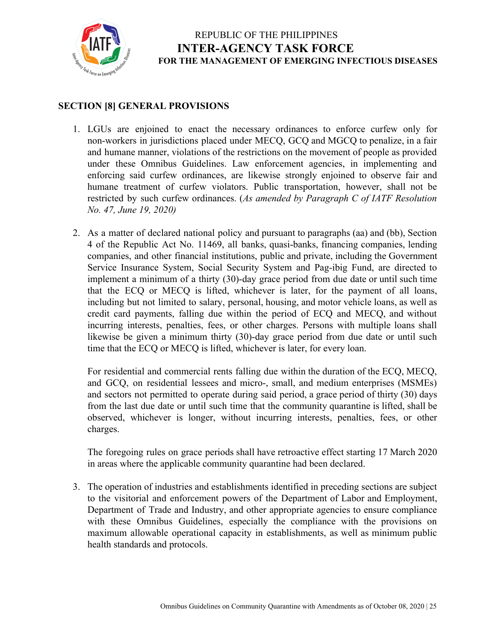

#### **SECTION [8] GENERAL PROVISIONS**

- 1. LGUs are enjoined to enact the necessary ordinances to enforce curfew only for non-workers in jurisdictions placed under MECQ, GCQ and MGCQ to penalize, in a fair and humane manner, violations of the restrictions on the movement of people as provided under these Omnibus Guidelines. Law enforcement agencies, in implementing and enforcing said curfew ordinances, are likewise strongly enjoined to observe fair and humane treatment of curfew violators. Public transportation, however, shall not be restricted by such curfew ordinances. (*As amended by Paragraph C of IATF Resolution No. 47, June 19, 2020)*
- 2. As a matter of declared national policy and pursuant to paragraphs (aa) and (bb), Section 4 of the Republic Act No. 11469, all banks, quasi-banks, financing companies, lending companies, and other financial institutions, public and private, including the Government Service Insurance System, Social Security System and Pag-ibig Fund, are directed to implement a minimum of a thirty (30)-day grace period from due date or until such time that the ECQ or MECQ is lifted, whichever is later, for the payment of all loans, including but not limited to salary, personal, housing, and motor vehicle loans, as well as credit card payments, falling due within the period of ECQ and MECQ, and without incurring interests, penalties, fees, or other charges. Persons with multiple loans shall likewise be given a minimum thirty (30)-day grace period from due date or until such time that the ECQ or MECQ is lifted, whichever is later, for every loan.

For residential and commercial rents falling due within the duration of the ECQ, MECQ, and GCQ, on residential lessees and micro-, small, and medium enterprises (MSMEs) and sectors not permitted to operate during said period, a grace period of thirty (30) days from the last due date or until such time that the community quarantine is lifted, shall be observed, whichever is longer, without incurring interests, penalties, fees, or other charges.

The foregoing rules on grace periods shall have retroactive effect starting 17 March 2020 in areas where the applicable community quarantine had been declared.

3. The operation of industries and establishments identified in preceding sections are subject to the visitorial and enforcement powers of the Department of Labor and Employment, Department of Trade and Industry, and other appropriate agencies to ensure compliance with these Omnibus Guidelines, especially the compliance with the provisions on maximum allowable operational capacity in establishments, as well as minimum public health standards and protocols.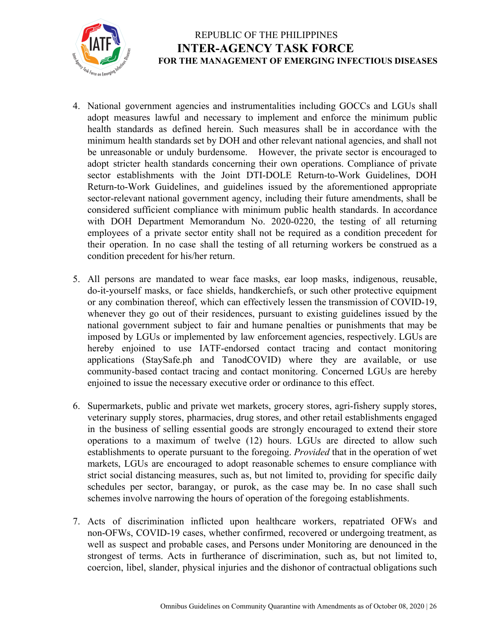

- 4. National government agencies and instrumentalities including GOCCs and LGUs shall adopt measures lawful and necessary to implement and enforce the minimum public health standards as defined herein. Such measures shall be in accordance with the minimum health standards set by DOH and other relevant national agencies, and shall not be unreasonable or unduly burdensome. However, the private sector is encouraged to adopt stricter health standards concerning their own operations. Compliance of private sector establishments with the Joint DTI-DOLE Return-to-Work Guidelines, DOH Return-to-Work Guidelines, and guidelines issued by the aforementioned appropriate sector-relevant national government agency, including their future amendments, shall be considered sufficient compliance with minimum public health standards. In accordance with DOH Department Memorandum No. 2020-0220, the testing of all returning employees of a private sector entity shall not be required as a condition precedent for their operation. In no case shall the testing of all returning workers be construed as a condition precedent for his/her return.
- 5. All persons are mandated to wear face masks, ear loop masks, indigenous, reusable, do-it-yourself masks, or face shields, handkerchiefs, or such other protective equipment or any combination thereof, which can effectively lessen the transmission of COVID-19, whenever they go out of their residences, pursuant to existing guidelines issued by the national government subject to fair and humane penalties or punishments that may be imposed by LGUs or implemented by law enforcement agencies, respectively. LGUs are hereby enjoined to use IATF-endorsed contact tracing and contact monitoring applications (StaySafe.ph and TanodCOVID) where they are available, or use community-based contact tracing and contact monitoring. Concerned LGUs are hereby enjoined to issue the necessary executive order or ordinance to this effect.
- 6. Supermarkets, public and private wet markets, grocery stores, agri-fishery supply stores, veterinary supply stores, pharmacies, drug stores, and other retail establishments engaged in the business of selling essential goods are strongly encouraged to extend their store operations to a maximum of twelve (12) hours. LGUs are directed to allow such establishments to operate pursuant to the foregoing. *Provided* that in the operation of wet markets, LGUs are encouraged to adopt reasonable schemes to ensure compliance with strict social distancing measures, such as, but not limited to, providing for specific daily schedules per sector, barangay, or purok, as the case may be. In no case shall such schemes involve narrowing the hours of operation of the foregoing establishments.
- 7. Acts of discrimination inflicted upon healthcare workers, repatriated OFWs and non-OFWs, COVID-19 cases, whether confirmed, recovered or undergoing treatment, as well as suspect and probable cases, and Persons under Monitoring are denounced in the strongest of terms. Acts in furtherance of discrimination, such as, but not limited to, coercion, libel, slander, physical injuries and the dishonor of contractual obligations such